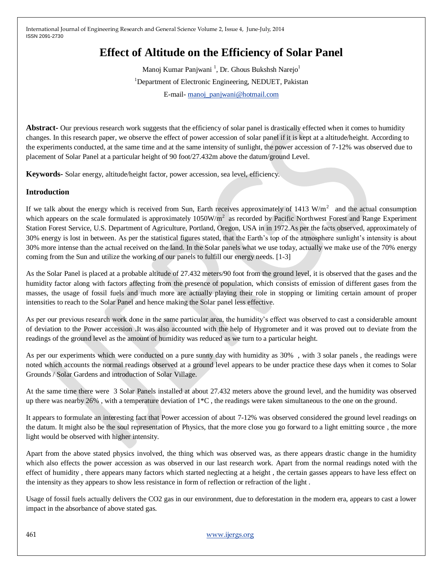# **Effect of Altitude on the Efficiency of Solar Panel**

Manoj Kumar Panjwani<sup>1</sup>, Dr. Ghous Bukshsh Narejo<sup>1</sup> <sup>1</sup>Department of Electronic Engineering, NEDUET, Pakistan E-mail- [manoj\\_panjwani@hotmail.com](mailto:manoj_panjwani@hotmail.com)

Abstract- Our previous research work suggests that the efficiency of solar panel is drastically effected when it comes to humidity changes. In this research paper, we observe the effect of power accession of solar panel if it is kept at a altitude/height. According to the experiments conducted, at the same time and at the same intensity of sunlight, the power accession of 7-12% was observed due to placement of Solar Panel at a particular height of 90 foot/27.432m above the datum/ground Level.

**Keywords-** Solar energy, altitude/height factor, power accession, sea level, efficiency.

#### **Introduction**

If we talk about the energy which is received from Sun, Earth receives approximately of 1413  $W/m<sup>2</sup>$  and the actual consumption which appears on the scale formulated is approximately  $1050W/m^2$  as recorded by Pacific Northwest Forest and Range Experiment Station Forest Service, U.S. Department of Agriculture, Portland, Oregon, USA in in 1972.As per the facts observed, approximately of 30% energy is lost in between. As per the statistical figures stated, that the Earth's top of the atmosphere sunlight's intensity is about 30% more intense than the actual received on the land. In the Solar panels what we use today, actually we make use of the 70% energy coming from the Sun and utilize the working of our panels to fulfill our energy needs. [1-3]

As the Solar Panel is placed at a probable altitude of 27.432 meters/90 foot from the ground level, it is observed that the gases and the humidity factor along with factors affecting from the presence of population, which consists of emission of different gases from the masses, the usage of fossil fuels and much more are actually playing their role in stopping or limiting certain amount of proper intensities to reach to the Solar Panel and hence making the Solar panel less effective.

As per our previous research work done in the same particular area, the humidity's effect was observed to cast a considerable amount of deviation to the Power accession .It was also accounted with the help of Hygrometer and it was proved out to deviate from the readings of the ground level as the amount of humidity was reduced as we turn to a particular height.

As per our experiments which were conducted on a pure sunny day with humidity as 30% , with 3 solar panels , the readings were noted which accounts the normal readings observed at a ground level appears to be under practice these days when it comes to Solar Grounds / Solar Gardens and introduction of Solar Village.

At the same time there were 3 Solar Panels installed at about 27.432 meters above the ground level, and the humidity was observed up there was nearby 26%, with a temperature deviation of  $1*C$ , the readings were taken simultaneous to the one on the ground.

It appears to formulate an interesting fact that Power accession of about 7-12% was observed considered the ground level readings on the datum. It might also be the soul representation of Physics, that the more close you go forward to a light emitting source , the more light would be observed with higher intensity.

Apart from the above stated physics involved, the thing which was observed was, as there appears drastic change in the humidity which also effects the power accession as was observed in our last research work. Apart from the normal readings noted with the effect of humidity , there appears many factors which started neglecting at a height , the certain gasses appears to have less effect on the intensity as they appears to show less resistance in form of reflection or refraction of the light .

Usage of fossil fuels actually delivers the CO2 gas in our environment, due to deforestation in the modern era, appears to cast a lower impact in the absorbance of above stated gas.

461 [www.ijergs.org](http://www.ijergs.org/)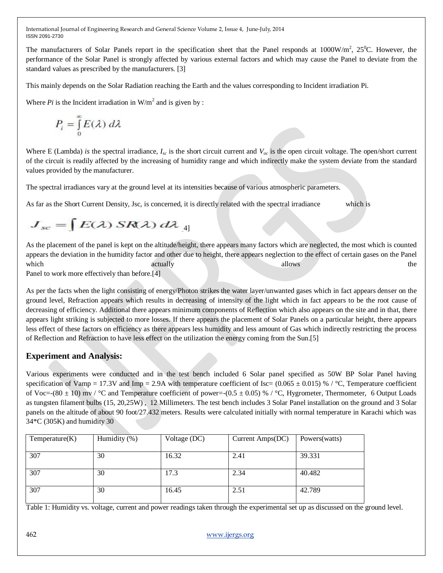The manufacturers of Solar Panels report in the specification sheet that the Panel responds at  $1000W/m^2$ ,  $25^{\circ}$ C. However, the performance of the Solar Panel is strongly affected by various external factors and which may cause the Panel to deviate from the standard values as prescribed by the manufacturers. [3]

This mainly depends on the Solar Radiation reaching the Earth and the values corresponding to Incident irradiation Pi.

Where  $Pi$  is the Incident irradiation in  $W/m^2$  and is given by :

$$
P_i = \int_0^\infty E(\lambda) \, d\lambda
$$

Where E (Lambda) *is* the spectral irradiance,  $I_{sc}$  is the short circuit current and  $V_{oc}$  is the open circuit voltage. The open/short current of the circuit is readily affected by the increasing of humidity range and which indirectly make the system deviate from the standard values provided by the manufacturer.

The spectral irradiances vary at the ground level at its intensities because of various atmospheric parameters.

As far as the Short Current Density, Jsc, is concerned, it is directly related with the spectral irradiance which is

# $J_{sc} = \int E(\lambda) SR(\lambda) d\lambda_4$

As the placement of the panel is kept on the altitude/height, there appears many factors which are neglected, the most which is counted appears the deviation in the humidity factor and other due to height, there appears neglection to the effect of certain gases on the Panel which actually allows the set of the set of the set of the set of the set of the set of the set of the set of the set of the set of the set of the set of the set of the set of the set of the set of the set of the set of th

Panel to work more effectively than before.[4]

As per the facts when the light consisting of energy/Photon strikes the water layer/unwanted gases which in fact appears denser on the ground level, Refraction appears which results in decreasing of intensity of the light which in fact appears to be the root cause of decreasing of efficiency. Additional there appears minimum components of Reflection which also appears on the site and in that, there appears light striking is subjected to more losses. If there appears the placement of Solar Panels on a particular height, there appears less effect of these factors on efficiency as there appears less humidity and less amount of Gas which indirectly restricting the process of Reflection and Refraction to have less effect on the utilization the energy coming from the Sun.[5]

## **Experiment and Analysis:**

Various experiments were conducted and in the test bench included 6 Solar panel specified as 50W BP Solar Panel having specification of Vamp = 17.3V and Imp = 2.9A with temperature coefficient of Isc=  $(0.065 \pm 0.015)$  % / °C, Temperature coefficient of Voc=-(80  $\pm$  10) mv / °C and Temperature coefficient of power=-(0.5  $\pm$  0.05) % / °C, Hygrometer, Thermometer, 6 Output Loads as tungsten filament bulbs (15, 20,25W) , 12 Millimeters. The test bench includes 3 Solar Panel installation on the ground and 3 Solar panels on the altitude of about 90 foot/27.432 meters. Results were calculated initially with normal temperature in Karachi which was 34\*C (305K) and humidity 30

| Temperature(K) | Humidity (%) | Voltage (DC) | Current Amps(DC) | Powers (watts) |
|----------------|--------------|--------------|------------------|----------------|
| 307            | 30           | 16.32        | 2.41             | 39.331         |
| 307            | 30           | 17.3         | 2.34             | 40.482         |
| 307            | 30           | 16.45        | 2.51             | 42.789         |

Table 1: Humidity vs. voltage, current and power readings taken through the experimental set up as discussed on the ground level.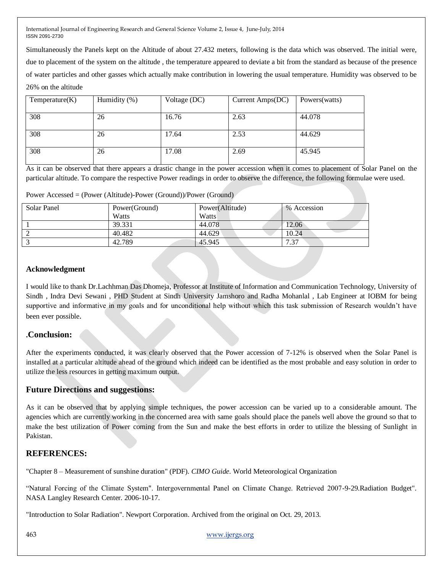Simultaneously the Panels kept on the Altitude of about 27.432 meters, following is the data which was observed. The initial were, due to placement of the system on the altitude , the temperature appeared to deviate a bit from the standard as because of the presence of water particles and other gasses which actually make contribution in lowering the usual temperature. Humidity was observed to be 26% on the altitude

| Temperature(K) | Humidity (%) | Voltage (DC) | Current Amps(DC) | Powers (watts) |
|----------------|--------------|--------------|------------------|----------------|
| 308            | 26           | 16.76        | 2.63             | 44.078         |
| 308            | 26           | 17.64        | 2.53             | 44.629         |
| 308            | 26           | 17.08        | 2.69             | 45.945         |

As it can be observed that there appears a drastic change in the power accession when it comes to placement of Solar Panel on the particular altitude. To compare the respective Power readings in order to observe the difference, the following formulae were used.

Power Accessed = (Power (Altitude)-Power (Ground))/Power (Ground)

| Solar Panel | Power(Ground)<br><b>Watts</b> | Power(Altitude)<br>Watts | % Accession |
|-------------|-------------------------------|--------------------------|-------------|
|             | 39.331                        | 44.078                   | 12.06       |
|             | 40.482                        | 44.629                   | 10.24       |
|             | 42.789                        | 45.945                   | 7.37        |

#### **Acknowledgment**

I would like to thank Dr.Lachhman Das Dhomeja, Professor at Institute of Information and Communication Technology, University of Sindh , Indra Devi Sewani , PHD Student at Sindh University Jamshoro and Radha Mohanlal , Lab Engineer at IOBM for being supportive and informative in my goals and for unconditional help without which this task submission of Research wouldn't have been ever possible.

### **.Conclusion:**

After the experiments conducted, it was clearly observed that the Power accession of 7-12% is observed when the Solar Panel is installed at a particular altitude ahead of the ground which indeed can be identified as the most probable and easy solution in order to utilize the less resources in getting maximum output.

#### **Future Directions and suggestions:**

As it can be observed that by applying simple techniques, the power accession can be varied up to a considerable amount. The agencies which are currently working in the concerned area with same goals should place the panels well above the ground so that to make the best utilization of Power coming from the Sun and make the best efforts in order to utilize the blessing of Sunlight in Pakistan.

#### **REFERENCES:**

"Chapter 8 – Measurement of sunshine duration" (PDF). *CIMO Guide*. World Meteorological Organization

"Natural Forcing of the Climate System". Intergovernmental Panel on Climate Change. Retrieved 2007-9-29.Radiation Budget". NASA Langley Research Center. 2006-10-17.

"Introduction to Solar Radiation". Newport Corporation. Archived from the original on Oct. 29, 2013.

463 [www.ijergs.org](http://www.ijergs.org/)